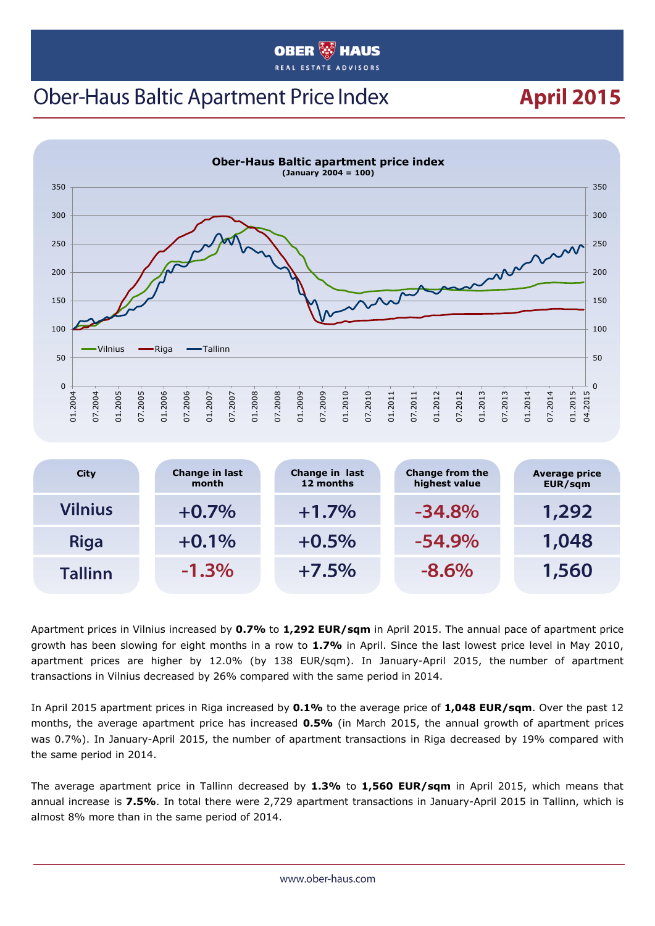#### **OBER HAUS**

# **Ober-Haus Baltic Apartment Price Index**

# **April 2015**



| <b>City</b>    | Change in last<br>month | Change in last<br>12 months | <b>Change from the</b><br>highest value | <b>Average price</b><br>EUR/sqm |
|----------------|-------------------------|-----------------------------|-----------------------------------------|---------------------------------|
| Vilnius        | $+0.7%$                 | $+1.7%$                     | $-34.8%$                                | 1,292                           |
| <b>Riga</b>    | $+0.1%$                 | $+0.5%$                     | $-54.9\%$                               | 1,048                           |
| <b>Tallinn</b> | $-1.3\%$                | $+7.5%$                     | $-8.6\%$                                | 1,560                           |

Apartment prices in Vilnius increased by **0.7%** to **1,292 EUR/sqm** in April 2015. The annual pace of apartment price growth has been slowing for eight months in a row to **1.7%** in April. Since the last lowest price level in May 2010, apartment prices are higher by 12.0% (by 138 EUR/sqm). In January-April 2015, the number of apartment transactions in Vilnius decreased by 26% compared with the same period in 2014.

In April 2015 apartment prices in Riga increased by **0.1%** to the average price of **1,048 EUR/sqm**. Over the past 12 months, the average apartment price has increased **0.5%** (in March 2015, the annual growth of apartment prices was 0.7%). In January-April 2015, the number of apartment transactions in Riga decreased by 19% compared with the same period in 2014.

The average apartment price in Tallinn decreased by **1.3%** to **1,560 EUR/sqm** in April 2015, which means that annual increase is **7.5%**. In total there were 2,729 apartment transactions in January-April 2015 in Tallinn, which is almost 8% more than in the same period of 2014.